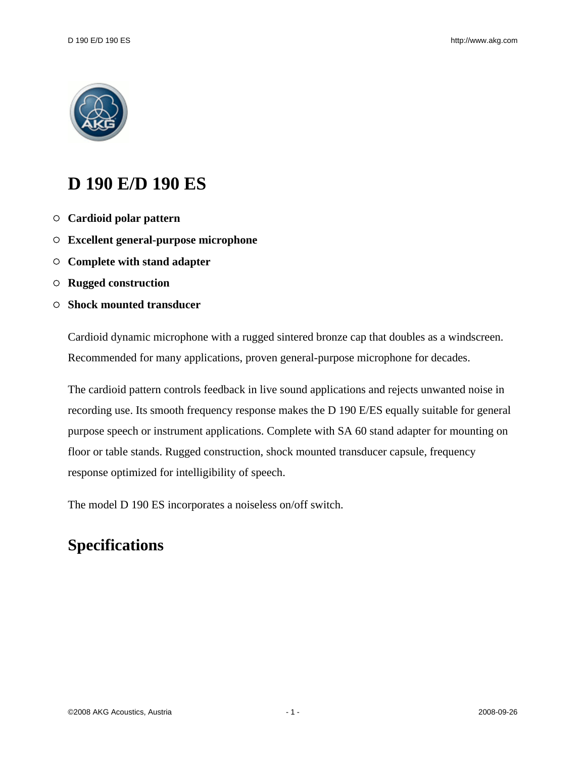

## **D 190 E/D 190 ES**

- **Cardioid polar pattern**
- **Excellent general-purpose microphone**
- **Complete with stand adapter**
- **Rugged construction**
- **Shock mounted transducer**

Cardioid dynamic microphone with a rugged sintered bronze cap that doubles as a windscreen. Recommended for many applications, proven general-purpose microphone for decades.

The cardioid pattern controls feedback in live sound applications and rejects unwanted noise in recording use. Its smooth frequency response makes the D 190 E/ES equally suitable for general purpose speech or instrument applications. Complete with SA 60 stand adapter for mounting on floor or table stands. Rugged construction, shock mounted transducer capsule, frequency response optimized for intelligibility of speech.

The model D 190 ES incorporates a noiseless on/off switch.

## **Specifications**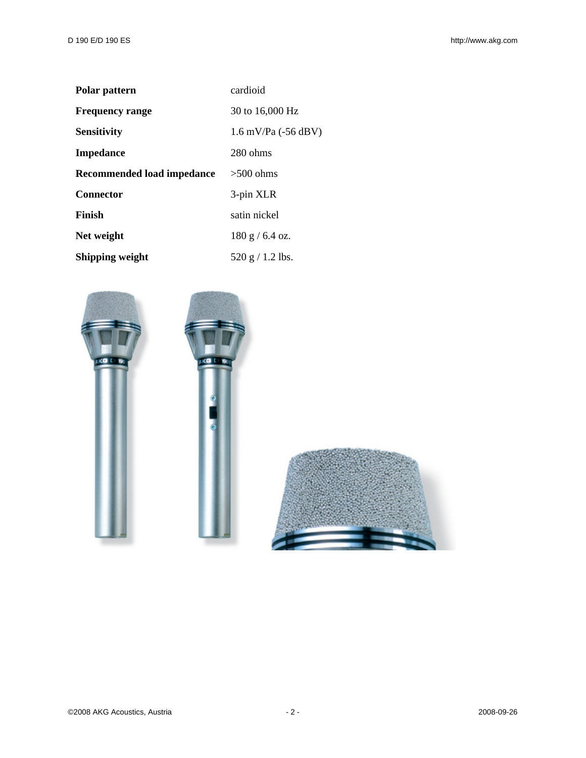| Polar pattern              | cardioid                      |
|----------------------------|-------------------------------|
| <b>Frequency range</b>     | 30 to 16,000 Hz               |
| <b>Sensitivity</b>         | $1.6 \text{ mV/Pa}$ (-56 dBV) |
| <b>Impedance</b>           | $280 \text{ ohms}$            |
| Recommended load impedance | $>500$ ohms                   |
| <b>Connector</b>           | 3-pin XLR                     |
| Finish                     | satin nickel                  |
| Net weight                 | 180 g / 6.4 oz.               |
| Shipping weight            | 520 g / 1.2 lbs.              |